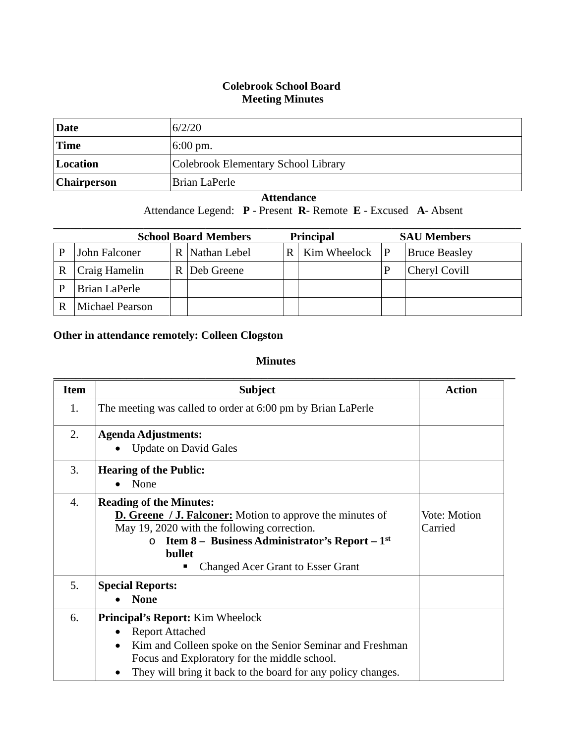## **Colebrook School Board Meeting Minutes**

| Date               | 6/2/20                              |
|--------------------|-------------------------------------|
| Time               | $6:00 \text{ pm}$ .                 |
| Location           | Colebrook Elementary School Library |
| <b>Chairperson</b> | Brian LaPerle                       |

## **Attendance**

Attendance Legend: **P** - Present **R**- Remote **E** - Excused **A**- Absent

| <b>School Board Members</b><br><b>Principal</b> |                        |  |                |     | <b>SAU Members</b> |  |                      |
|-------------------------------------------------|------------------------|--|----------------|-----|--------------------|--|----------------------|
|                                                 | John Falconer          |  | R Nathan Lebel | R I | Kim Wheelock $ P $ |  | <b>Bruce Beasley</b> |
| R                                               | Craig Hamelin          |  | R   Deb Greene |     |                    |  | Cheryl Covill        |
|                                                 | Brian LaPerle          |  |                |     |                    |  |                      |
|                                                 | <b>Michael Pearson</b> |  |                |     |                    |  |                      |

## **Other in attendance remotely: Colleen Clogston**

## **Minutes**

| <b>Item</b> | <b>Subject</b>                                                          | <b>Action</b> |
|-------------|-------------------------------------------------------------------------|---------------|
| 1.          | The meeting was called to order at 6:00 pm by Brian LaPerle             |               |
| 2.          | <b>Agenda Adjustments:</b>                                              |               |
|             | <b>Update on David Gales</b>                                            |               |
| 3.          | <b>Hearing of the Public:</b>                                           |               |
|             | None                                                                    |               |
| 4.          | <b>Reading of the Minutes:</b>                                          |               |
|             | <b>D. Greene</b> / <b>J. Falconer:</b> Motion to approve the minutes of | Vote: Motion  |
|             | May 19, 2020 with the following correction.                             | Carried       |
|             | <b>Item 8 – Business Administrator's Report – 1st</b><br>$\circ$        |               |
|             | bullet                                                                  |               |
|             | <b>Changed Acer Grant to Esser Grant</b>                                |               |
| 5.          | <b>Special Reports:</b>                                                 |               |
|             | <b>None</b>                                                             |               |
| 6.          | <b>Principal's Report:</b> Kim Wheelock                                 |               |
|             | <b>Report Attached</b><br>$\bullet$                                     |               |
|             | Kim and Colleen spoke on the Senior Seminar and Freshman<br>$\bullet$   |               |
|             | Focus and Exploratory for the middle school.                            |               |
|             | They will bring it back to the board for any policy changes.            |               |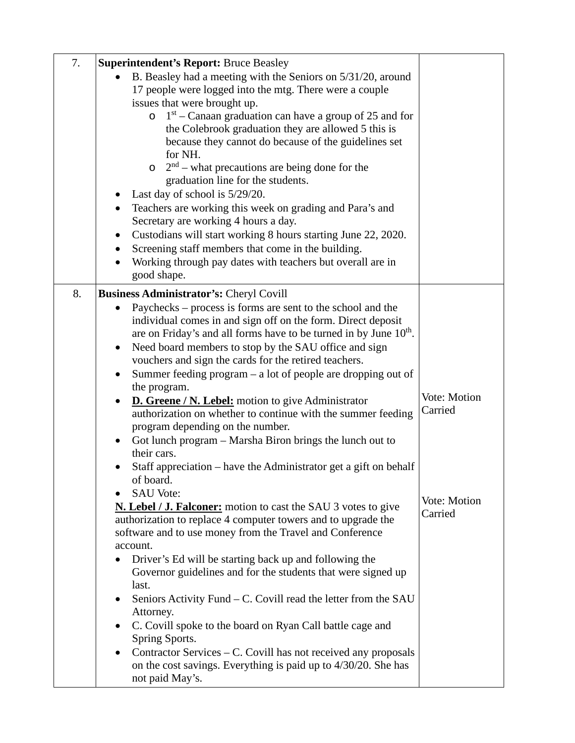| 7. | <b>Superintendent's Report: Bruce Beasley</b>                                                                                   |              |
|----|---------------------------------------------------------------------------------------------------------------------------------|--------------|
|    | B. Beasley had a meeting with the Seniors on 5/31/20, around                                                                    |              |
|    | 17 people were logged into the mtg. There were a couple                                                                         |              |
|    | issues that were brought up.                                                                                                    |              |
|    | $1st$ – Canaan graduation can have a group of 25 and for<br>$\circ$                                                             |              |
|    | the Colebrook graduation they are allowed 5 this is                                                                             |              |
|    | because they cannot do because of the guidelines set                                                                            |              |
|    | for NH.                                                                                                                         |              |
|    | $2nd$ – what precautions are being done for the<br>$\circ$                                                                      |              |
|    | graduation line for the students.                                                                                               |              |
|    | Last day of school is $5/29/20$ .                                                                                               |              |
|    | Teachers are working this week on grading and Para's and<br>$\bullet$                                                           |              |
|    | Secretary are working 4 hours a day.                                                                                            |              |
|    | Custodians will start working 8 hours starting June 22, 2020.                                                                   |              |
|    | Screening staff members that come in the building.                                                                              |              |
|    | Working through pay dates with teachers but overall are in<br>good shape.                                                       |              |
| 8. | Business Administrator's: Cheryl Covill                                                                                         |              |
|    | Paychecks – process is forms are sent to the school and the<br>$\bullet$                                                        |              |
|    | individual comes in and sign off on the form. Direct deposit                                                                    |              |
|    | are on Friday's and all forms have to be turned in by June 10 <sup>th</sup> .                                                   |              |
|    | Need board members to stop by the SAU office and sign<br>$\bullet$                                                              |              |
|    | vouchers and sign the cards for the retired teachers.                                                                           |              |
|    | Summer feeding $program - a$ lot of people are dropping out of                                                                  |              |
|    | the program.                                                                                                                    | Vote: Motion |
|    | D. Greene / N. Lebel: motion to give Administrator<br>$\bullet$<br>authorization on whether to continue with the summer feeding | Carried      |
|    | program depending on the number.                                                                                                |              |
|    | Got lunch program - Marsha Biron brings the lunch out to                                                                        |              |
|    | their cars.                                                                                                                     |              |
|    | Staff appreciation – have the Administrator get a gift on behalf                                                                |              |
|    | of board.                                                                                                                       |              |
|    | <b>SAU Vote:</b>                                                                                                                |              |
|    | <b>N. Lebel / J. Falconer:</b> motion to cast the SAU 3 votes to give                                                           | Vote: Motion |
|    | authorization to replace 4 computer towers and to upgrade the                                                                   | Carried      |
|    | software and to use money from the Travel and Conference                                                                        |              |
|    | account.                                                                                                                        |              |
|    | Driver's Ed will be starting back up and following the                                                                          |              |
|    | Governor guidelines and for the students that were signed up                                                                    |              |
|    | last.                                                                                                                           |              |
|    | Seniors Activity Fund – C. Covill read the letter from the SAU<br>Attorney.                                                     |              |
|    | C. Covill spoke to the board on Ryan Call battle cage and                                                                       |              |
|    | Spring Sports.                                                                                                                  |              |
|    | Contractor Services – C. Covill has not received any proposals<br>$\bullet$                                                     |              |
|    | on the cost savings. Everything is paid up to 4/30/20. She has                                                                  |              |
|    | not paid May's.                                                                                                                 |              |
|    |                                                                                                                                 |              |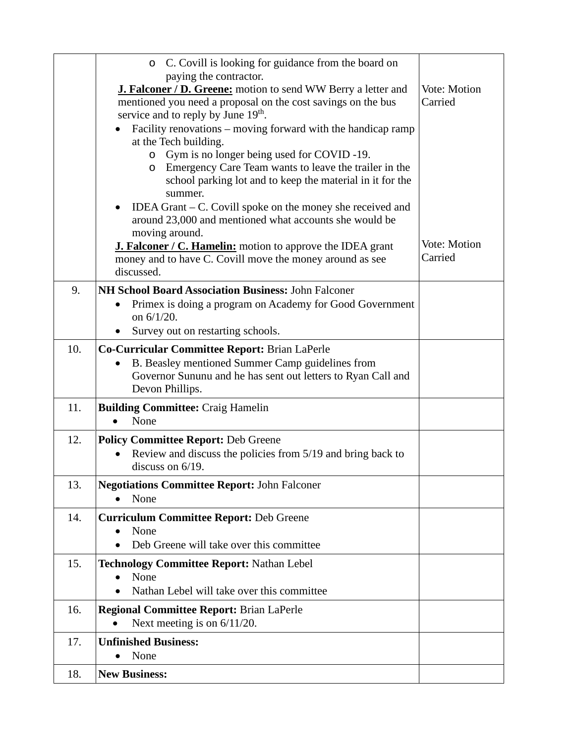|     | C. Covill is looking for guidance from the board on<br>$\circ$                                                                                                                                             |                         |
|-----|------------------------------------------------------------------------------------------------------------------------------------------------------------------------------------------------------------|-------------------------|
|     | paying the contractor.<br>J. Falconer / D. Greene: motion to send WW Berry a letter and<br>mentioned you need a proposal on the cost savings on the bus<br>service and to reply by June 19 <sup>th</sup> . | Vote: Motion<br>Carried |
|     | Facility renovations - moving forward with the handicap ramp<br>at the Tech building.                                                                                                                      |                         |
|     | Gym is no longer being used for COVID -19.<br>$\circ$<br>Emergency Care Team wants to leave the trailer in the<br>$\circ$<br>school parking lot and to keep the material in it for the<br>summer.          |                         |
|     | IDEA Grant $-$ C. Covill spoke on the money she received and<br>around 23,000 and mentioned what accounts she would be<br>moving around.                                                                   |                         |
|     | <b>J. Falconer / C. Hamelin:</b> motion to approve the IDEA grant<br>money and to have C. Covill move the money around as see<br>discussed.                                                                | Vote: Motion<br>Carried |
| 9.  | NH School Board Association Business: John Falconer<br>Primex is doing a program on Academy for Good Government<br>on 6/1/20.<br>Survey out on restarting schools.                                         |                         |
| 10. | <b>Co-Curricular Committee Report: Brian LaPerle</b><br>B. Beasley mentioned Summer Camp guidelines from<br>$\bullet$<br>Governor Sununu and he has sent out letters to Ryan Call and<br>Devon Phillips.   |                         |
| 11. | <b>Building Committee: Craig Hamelin</b><br>None<br>$\bullet$                                                                                                                                              |                         |
| 12. | <b>Policy Committee Report: Deb Greene</b><br>Review and discuss the policies from 5/19 and bring back to<br>discuss on $6/19$ .                                                                           |                         |
| 13. | <b>Negotiations Committee Report: John Falconer</b><br>None                                                                                                                                                |                         |
| 14. | <b>Curriculum Committee Report: Deb Greene</b><br>None<br>Deb Greene will take over this committee                                                                                                         |                         |
| 15. | Technology Committee Report: Nathan Lebel<br>None<br>Nathan Lebel will take over this committee                                                                                                            |                         |
| 16. | <b>Regional Committee Report: Brian LaPerle</b><br>Next meeting is on $6/11/20$ .<br>$\bullet$                                                                                                             |                         |
| 17. | <b>Unfinished Business:</b><br>None                                                                                                                                                                        |                         |
| 18. | <b>New Business:</b>                                                                                                                                                                                       |                         |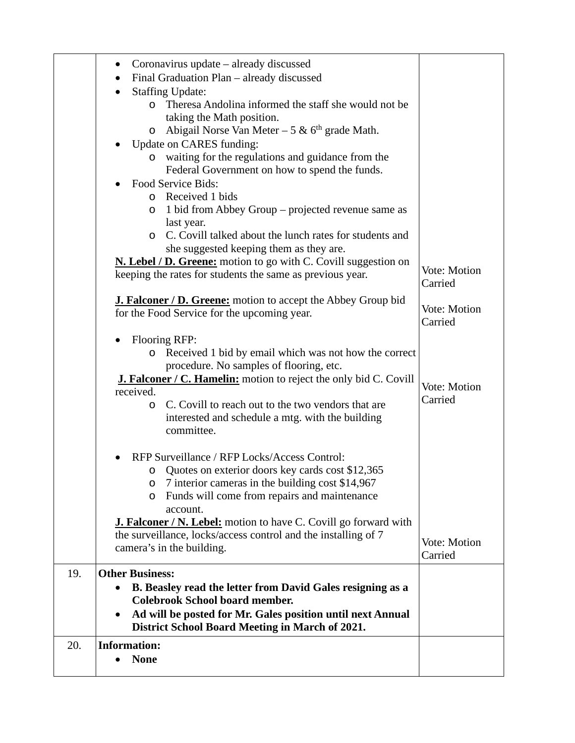|     | Coronavirus update – already discussed<br>Final Graduation Plan - already discussed<br>$\bullet$                                                                  |                         |
|-----|-------------------------------------------------------------------------------------------------------------------------------------------------------------------|-------------------------|
|     | <b>Staffing Update:</b><br>$\bullet$<br>Theresa Andolina informed the staff she would not be<br>$\circ$<br>taking the Math position.                              |                         |
|     | Abigail Norse Van Meter - 5 & $6th$ grade Math.<br>$\circ$<br>Update on CARES funding:<br>waiting for the regulations and guidance from the                       |                         |
|     | Federal Government on how to spend the funds.                                                                                                                     |                         |
|     | Food Service Bids:                                                                                                                                                |                         |
|     | o Received 1 bids<br>1 bid from Abbey Group – projected revenue same as<br>$\circ$                                                                                |                         |
|     | last year.<br>C. Covill talked about the lunch rates for students and<br>$\circ$<br>she suggested keeping them as they are.                                       |                         |
|     | <b>N. Lebel / D. Greene:</b> motion to go with C. Covill suggestion on<br>keeping the rates for students the same as previous year.                               | Vote: Motion<br>Carried |
|     | <b>J. Falconer / D. Greene:</b> motion to accept the Abbey Group bid<br>for the Food Service for the upcoming year.                                               | Vote: Motion<br>Carried |
|     | <b>Flooring RFP:</b>                                                                                                                                              |                         |
|     | Received 1 bid by email which was not how the correct<br>$\circ$                                                                                                  |                         |
|     | procedure. No samples of flooring, etc.                                                                                                                           |                         |
|     | <b>J. Falconer / C. Hamelin:</b> motion to reject the only bid C. Covill<br>received.                                                                             | Vote: Motion            |
|     | C. Covill to reach out to the two vendors that are<br>O<br>interested and schedule a mtg. with the building<br>committee.                                         | Carried                 |
|     | RFP Surveillance / RFP Locks/Access Control:<br>o Quotes on exterior doors key cards cost \$12,365<br>7 interior cameras in the building cost \$14,967<br>$\circ$ |                         |
|     | Funds will come from repairs and maintenance<br>$\circ$<br>account.                                                                                               |                         |
|     | <b>J. Falconer / N. Lebel:</b> motion to have C. Covill go forward with                                                                                           |                         |
|     | the surveillance, locks/access control and the installing of 7<br>camera's in the building.                                                                       | Vote: Motion<br>Carried |
| 19. | <b>Other Business:</b>                                                                                                                                            |                         |
|     | B. Beasley read the letter from David Gales resigning as a                                                                                                        |                         |
|     | <b>Colebrook School board member.</b>                                                                                                                             |                         |
|     | Ad will be posted for Mr. Gales position until next Annual<br>District School Board Meeting in March of 2021.                                                     |                         |
| 20. | <b>Information:</b>                                                                                                                                               |                         |
|     | <b>None</b>                                                                                                                                                       |                         |